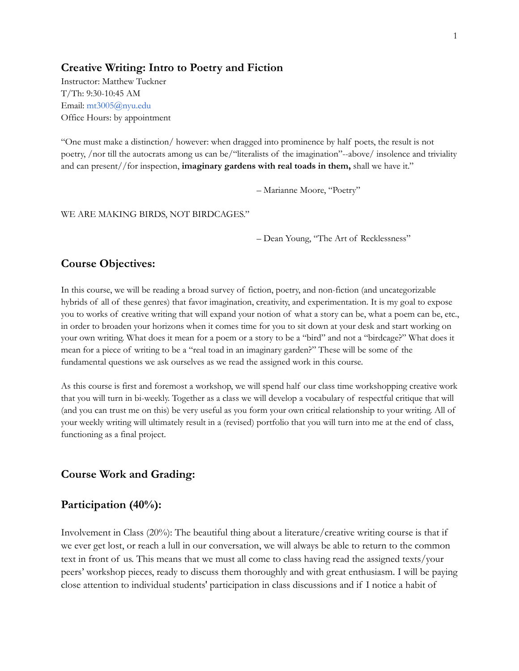## **Creative Writing: Intro to Poetry and Fiction**

Instructor: Matthew Tuckner T/Th: 9:30-10:45 AM Email: mt3005@nyu.edu Office Hours: by appointment

"One must make a distinction/ however: when dragged into prominence by half poets, the result is not poetry, /nor till the autocrats among us can be/"literalists of the imagination"--above/ insolence and triviality and can present//for inspection, **imaginary gardens with real toads in them,** shall we have it."

– Marianne Moore, "Poetry"

#### WE ARE MAKING BIRDS, NOT BIRDCAGES."

– Dean Young, "The Art of Recklessness"

## **Course Objectives:**

In this course, we will be reading a broad survey of fiction, poetry, and non-fiction (and uncategorizable hybrids of all of these genres) that favor imagination, creativity, and experimentation. It is my goal to expose you to works of creative writing that will expand your notion of what a story can be, what a poem can be, etc., in order to broaden your horizons when it comes time for you to sit down at your desk and start working on your own writing. What does it mean for a poem or a story to be a "bird" and not a "birdcage?" What does it mean for a piece of writing to be a "real toad in an imaginary garden?" These will be some of the fundamental questions we ask ourselves as we read the assigned work in this course.

As this course is first and foremost a workshop, we will spend half our class time workshopping creative work that you will turn in bi-weekly. Together as a class we will develop a vocabulary of respectful critique that will (and you can trust me on this) be very useful as you form your own critical relationship to your writing. All of your weekly writing will ultimately result in a (revised) portfolio that you will turn into me at the end of class, functioning as a final project.

## **Course Work and Grading:**

## **Participation (40%):**

Involvement in Class (20%): The beautiful thing about a literature/creative writing course is that if we ever get lost, or reach a lull in our conversation, we will always be able to return to the common text in front of us. This means that we must all come to class having read the assigned texts/your peers' workshop pieces, ready to discuss them thoroughly and with great enthusiasm. I will be paying close attention to individual students' participation in class discussions and if I notice a habit of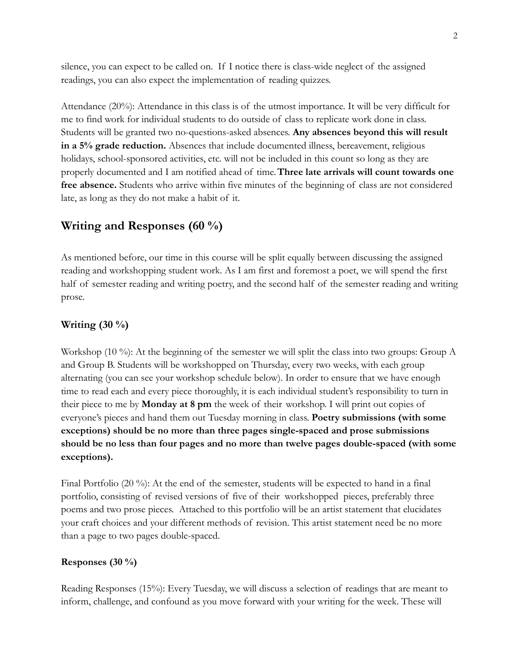silence, you can expect to be called on. If I notice there is class-wide neglect of the assigned readings, you can also expect the implementation of reading quizzes.

Attendance (20%): Attendance in this class is of the utmost importance. It will be very difficult for me to find work for individual students to do outside of class to replicate work done in class. Students will be granted two no-questions-asked absences. **Any absences beyond this will result in a 5% grade reduction.** Absences that include documented illness, bereavement, religious holidays, school-sponsored activities, etc. will not be included in this count so long as they are properly documented and I am notified ahead of time.**Three late arrivals will count towards one free absence.** Students who arrive within five minutes of the beginning of class are not considered late, as long as they do not make a habit of it.

# **Writing and Responses (60 %)**

As mentioned before, our time in this course will be split equally between discussing the assigned reading and workshopping student work. As I am first and foremost a poet, we will spend the first half of semester reading and writing poetry, and the second half of the semester reading and writing prose.

## **Writing (30 %)**

Workshop (10 %): At the beginning of the semester we will split the class into two groups: Group A and Group B. Students will be workshopped on Thursday, every two weeks, with each group alternating (you can see your workshop schedule below). In order to ensure that we have enough time to read each and every piece thoroughly, it is each individual student's responsibility to turn in their piece to me by **Monday at 8 pm** the week of their workshop. I will print out copies of everyone's pieces and hand them out Tuesday morning in class. **Poetry submissions (with some exceptions) should be no more than three pages single-spaced and prose submissions should be no less than four pages and no more than twelve pages double-spaced (with some exceptions).**

Final Portfolio (20 %): At the end of the semester, students will be expected to hand in a final portfolio, consisting of revised versions of five of their workshopped pieces, preferably three poems and two prose pieces. Attached to this portfolio will be an artist statement that elucidates your craft choices and your different methods of revision. This artist statement need be no more than a page to two pages double-spaced.

#### **Responses (30 %)**

Reading Responses (15%): Every Tuesday, we will discuss a selection of readings that are meant to inform, challenge, and confound as you move forward with your writing for the week. These will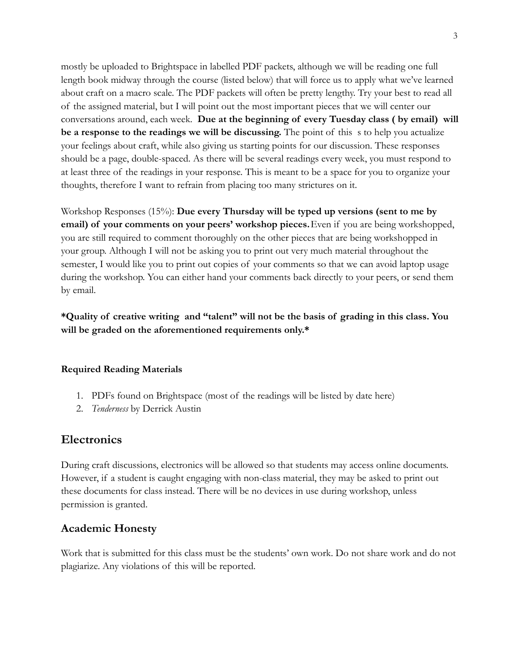mostly be uploaded to Brightspace in labelled PDF packets, although we will be reading one full length book midway through the course (listed below) that will force us to apply what we've learned about craft on a macro scale. The PDF packets will often be pretty lengthy. Try your best to read all of the assigned material, but I will point out the most important pieces that we will center our conversations around, each week. **Due at the beginning of every Tuesday class ( by email) will be a response to the readings we will be discussing.** The point of this s to help you actualize your feelings about craft, while also giving us starting points for our discussion. These responses should be a page, double-spaced. As there will be several readings every week, you must respond to at least three of the readings in your response. This is meant to be a space for you to organize your thoughts, therefore I want to refrain from placing too many strictures on it.

Workshop Responses (15%): **Due every Thursday will be typed up versions (sent to me by email) of your comments on your peers' workshop pieces.**Even if you are being workshopped, you are still required to comment thoroughly on the other pieces that are being workshopped in your group. Although I will not be asking you to print out very much material throughout the semester, I would like you to print out copies of your comments so that we can avoid laptop usage during the workshop. You can either hand your comments back directly to your peers, or send them by email.

**\*Quality of creative writing and "talent" will not be the basis of grading in this class. You will be graded on the aforementioned requirements only.\***

## **Required Reading Materials**

- 1. PDFs found on Brightspace (most of the readings will be listed by date here)
- 2. *Tenderness* by Derrick Austin

# **Electronics**

During craft discussions, electronics will be allowed so that students may access online documents. However, if a student is caught engaging with non-class material, they may be asked to print out these documents for class instead. There will be no devices in use during workshop, unless permission is granted.

# **Academic Honesty**

Work that is submitted for this class must be the students' own work. Do not share work and do not plagiarize. Any violations of this will be reported.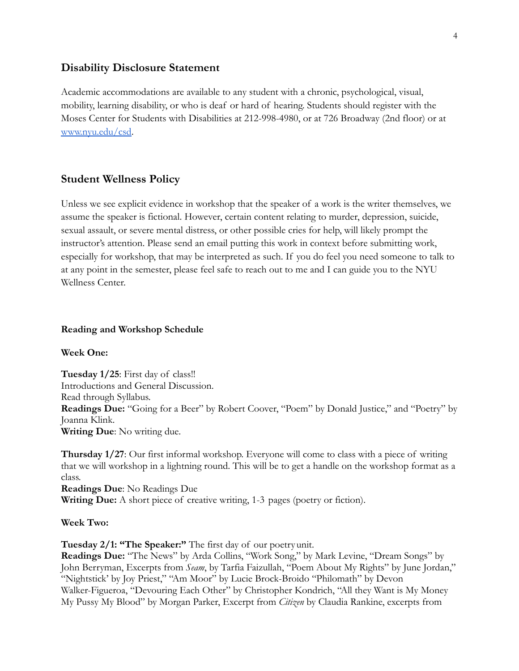## **Disability Disclosure Statement**

Academic accommodations are available to any student with a chronic, psychological, visual, mobility, learning disability, or who is deaf or hard of hearing. Students should register with the Moses Center for Students with Disabilities at 212-998-4980, or at 726 Broadway (2nd floor) or at [www.nyu.edu/csd](http://www.nyu.edu/csd).

## **Student Wellness Policy**

Unless we see explicit evidence in workshop that the speaker of a work is the writer themselves, we assume the speaker is fictional. However, certain content relating to murder, depression, suicide, sexual assault, or severe mental distress, or other possible cries for help, will likely prompt the instructor's attention. Please send an email putting this work in context before submitting work, especially for workshop, that may be interpreted as such. If you do feel you need someone to talk to at any point in the semester, please feel safe to reach out to me and I can guide you to the NYU Wellness Center.

#### **Reading and Workshop Schedule**

**Week One:**

**Tuesday 1/25**: First day of class!! Introductions and General Discussion. Read through Syllabus. **Readings Due:** "Going for a Beer" by Robert Coover, "Poem" by Donald Justice," and "Poetry" by Joanna Klink. **Writing Due**: No writing due.

**Thursday 1/27**: Our first informal workshop. Everyone will come to class with a piece of writing that we will workshop in a lightning round. This will be to get a handle on the workshop format as a class.

**Readings Due**: No Readings Due **Writing Due:** A short piece of creative writing, 1-3 pages (poetry or fiction).

**Week Two:**

**Tuesday 2/1: "The Speaker:"** The first day of our poetryunit.

**Readings Due:** "The News" by Arda Collins, "Work Song," by Mark Levine, "Dream Songs" by John Berryman, Excerpts from *Seam*, by Tarfia Faizullah, "Poem About My Rights" by June Jordan," "Nightstick' by Joy Priest," "Am Moor" by Lucie Brock-Broido "Philomath" by Devon Walker-Figueroa, "Devouring Each Other" by Christopher Kondrich, "All they Want is My Money My Pussy My Blood" by Morgan Parker, Excerpt from *Citizen* by Claudia Rankine, excerpts from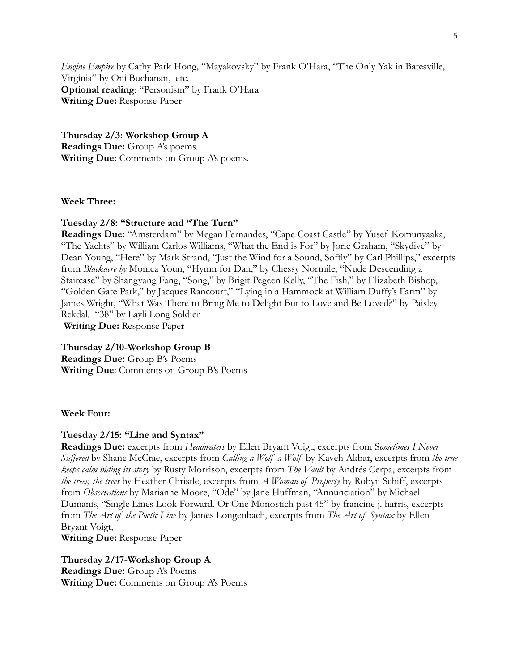*Engine Empire* by Cathy Park Hong, "Mayakovsky" by Frank O'Hara, "The Only Yak in Batesville, Virginia" by Oni Buchanan, etc. **Optional reading**: "Personism" by Frank O'Hara **Writing Due:** Response Paper

**Thursday 2/3: Workshop Group A Readings Due:** Group A's poems. **Writing Due:** Comments on Group A's poems.

**Week Three:**

#### **Tuesday 2/8: "Structure and "The Turn"**

**Readings Due:** "Amsterdam" by Megan Fernandes, "Cape Coast Castle" by Yusef Komunyaaka, "The Yachts" by William Carlos Williams, "What the End is For" by Jorie Graham, "Skydive" by Dean Young, "Here" by Mark Strand, "Just the Wind for a Sound, Softly" by Carl Phillips," excerpts from *Blackacre by* Monica Youn, "Hymn for Dan," by Chessy Normile, "Nude Descending a Staircase" by Shangyang Fang, "Song," by Brigit Pegeen Kelly, "The Fish," by Elizabeth Bishop, "Golden Gate Park," by Jacques Rancourt," "Lying in a Hammock at William Duffy's Farm" by James Wright, "What Was There to Bring Me to Delight But to Love and Be Loved?" by Paisley Rekdal, "38" by Layli Long Soldier

**Writing Due:** Response Paper

## **Thursday 2/10-Workshop Group B**

**Readings Due:** Group B's Poems **Writing Due**: Comments on Group B's Poems

**Week Four:**

#### **Tuesday 2/15: "Line and Syntax"**

**Readings Due:** excerpts from *Headwaters* by Ellen Bryant Voigt, excerpts from S*ometimes I Never Suffered* by Shane McCrae, excerpts from *Calling a Wolf a Wolf* by Kaveh Akbar, excerpts from *the true keeps calm biding its story* by Rusty Morrison, excerpts from *The Vault* by Andrés Cerpa, excerpts from *the trees, the trees* by Heather Christle, excerpts from *A Woman of Property* by Robyn Schiff, excerpts from *Observations* by Marianne Moore, "Ode" by Jane Huffman, "Annunciation" by Michael Dumanis, "Single Lines Look Forward. Or One Monostich past 45" by francine j. harris, excerpts from *The Art of the Poetic Line* by James Longenbach, excerpts from *The Art of Syntax* by Ellen Bryant Voigt,

**Writing Due:** Response Paper

**Thursday 2/17-Workshop Group A Readings Due:** Group A's Poems **Writing Due:** Comments on Group A's Poems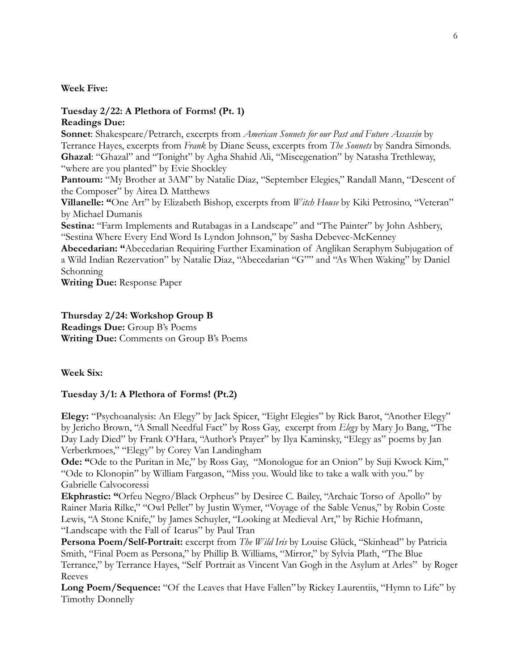#### **Week Five:**

# **Tuesday 2/22: A Plethora of Forms! (Pt. 1)**

## **Readings Due:**

**Sonnet**: Shakespeare/Petrarch, excerpts from *American Sonnets for our Past and Future Assassin* by Terrance Hayes, excerpts from *Frank* by Diane Seuss, excerpts from *The Sonnets* by Sandra Simonds. **Ghazal**: "Ghazal" and "Tonight" by Agha Shahid Ali, "Miscegenation" by Natasha Trethleway, "where are you planted" by Evie Shockley

Pantoum: "My Brother at 3AM" by Natalie Diaz, "September Elegies," Randall Mann, "Descent of the Composer" by Airea D. Matthews

**Villanelle: "**One Art" by Elizabeth Bishop, excerpts from *Witch House* by Kiki Petrosino, "Veteran" by Michael Dumanis

**Sestina:** "Farm Implements and Rutabagas in a Landscape" and "The Painter" by John Ashbery, "Sestina Where Every End Word Is Lyndon Johnson," by Sasha Debevec-McKenney

**Abecedarian: "**Abecedarian Requiring Further Examination of Anglikan Seraphym Subjugation of a Wild Indian Rezervation" by Natalie Diaz, "Abecedarian "G"" and "As When Waking" by Daniel Schonning

**Writing Due:** Response Paper

# **Thursday 2/24: Workshop Group B**

**Readings Due:** Group B's Poems **Writing Due:** Comments on Group B's Poems

**Week Six:**

#### **Tuesday 3/1: A Plethora of Forms! (Pt.2)**

**Elegy:** "Psychoanalysis: An Elegy" by Jack Spicer, "Eight Elegies" by Rick Barot, "Another Elegy" by Jericho Brown, "A Small Needful Fact" by Ross Gay, excerpt from *Elegy* by Mary Jo Bang, "The Day Lady Died" by Frank O'Hara, "Author's Prayer" by Ilya Kaminsky, "Elegy as" poems by Jan Verberkmoes," "Elegy" by Corey Van Landingham

**Ode: "**Ode to the Puritan in Me," by Ross Gay, "Monologue for an Onion" by Suji Kwock Kim," "Ode to Klonopin" by William Fargason, "Miss you. Would like to take a walk with you." by Gabrielle Calvocoressi

**Ekphrastic: "**Orfeu Negro/Black Orpheus" by Desiree C. Bailey, "Archaic Torso of Apollo" by Rainer Maria Rilke," "Owl Pellet" by Justin Wymer, "Voyage of the Sable Venus," by Robin Coste Lewis, "A Stone Knife," by James Schuyler, "Looking at Medieval Art," by Richie Hofmann, "Landscape with the Fall of Icarus" by Paul Tran

**Persona Poem/Self-Portrait:** excerpt from *The Wild Iris* by Louise Glück, "Skinhead" by Patricia Smith, "Final Poem as Persona," by Phillip B. Williams, "Mirror," by Sylvia Plath, "The Blue Terrance," by Terrance Hayes, "Self Portrait as Vincent Van Gogh in the Asylum at Arles" by Roger Reeves

**Long Poem/Sequence:** "Of the Leaves that Have Fallen"by Rickey Laurentiis, "Hymn to Life" by Timothy Donnelly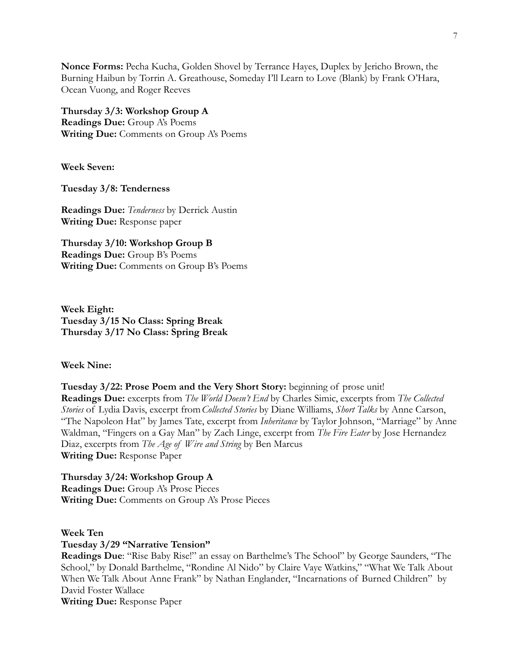**Nonce Forms:** Pecha Kucha, Golden Shovel by Terrance Hayes, Duplex by Jericho Brown, the Burning Haibun by Torrin A. Greathouse, Someday I'll Learn to Love (Blank) by Frank O'Hara, Ocean Vuong, and Roger Reeves

**Thursday 3/3: Workshop Group A Readings Due:** Group A's Poems **Writing Due:** Comments on Group A's Poems

**Week Seven:**

**Tuesday 3/8: Tenderness**

**Readings Due:** *Tenderness* by Derrick Austin **Writing Due:** Response paper

**Thursday 3/10: Workshop Group B Readings Due:** Group B's Poems **Writing Due:** Comments on Group B's Poems

**Week Eight: Tuesday 3/15 No Class: Spring Break Thursday 3/17 No Class: Spring Break**

#### **Week Nine:**

**Tuesday 3/22: Prose Poem and the Very Short Story:** beginning of prose unit! **Readings Due:** excerpts from *The World Doesn't End* by Charles Simic, excerpts from *The Collected Stories* of Lydia Davis, excerpt from*Collected Stories* by Diane Williams, *Short Talks* by Anne Carson, "The Napoleon Hat" by James Tate, excerpt from *Inheritance* by Taylor Johnson, "Marriage" by Anne Waldman, "Fingers on a Gay Man" by Zach Linge, excerpt from *The Fire Eater* by Jose Hernandez Diaz, excerpts from *The Age of Wire and String* by Ben Marcus **Writing Due:** Response Paper

**Thursday 3/24: Workshop Group A Readings Due:** Group A's Prose Pieces **Writing Due:** Comments on Group A's Prose Pieces

**Week Ten Tuesday 3/29 "Narrative Tension"**

**Readings Due**: "Rise Baby Rise!" an essay on Barthelme's The School" by George Saunders, "The School," by Donald Barthelme, "Rondine Al Nido" by Claire Vaye Watkins," "What We Talk About When We Talk About Anne Frank" by Nathan Englander, "Incarnations of Burned Children" by David Foster Wallace **Writing Due:** Response Paper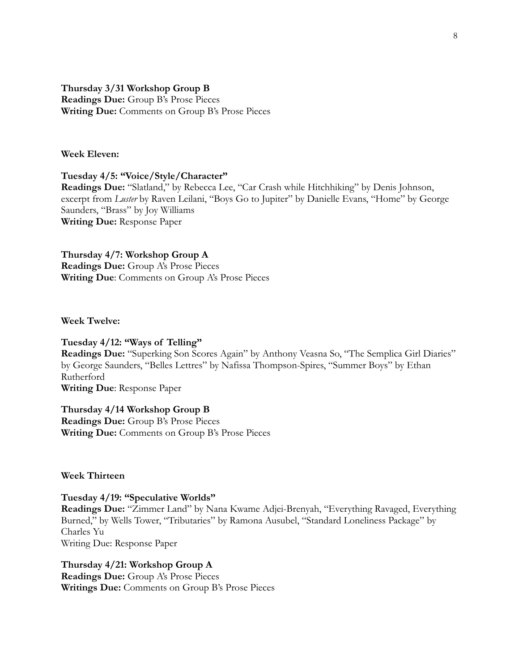## **Thursday 3/31 Workshop Group B Readings Due:** Group B's Prose Pieces **Writing Due:** Comments on Group B's Prose Pieces

#### **Week Eleven:**

#### **Tuesday 4/5: "Voice/Style/Character"**

**Readings Due:** "Slatland," by Rebecca Lee, "Car Crash while Hitchhiking" by Denis Johnson, excerpt from *Luster* by Raven Leilani, "Boys Go to Jupiter" by Danielle Evans, "Home" by George Saunders, "Brass" by Joy Williams **Writing Due:** Response Paper

**Thursday 4/7: Workshop Group A**

**Readings Due:** Group A's Prose Pieces **Writing Due**: Comments on Group A's Prose Pieces

**Week Twelve:**

#### **Tuesday 4/12: "Ways of Telling"**

**Readings Due:** "Superking Son Scores Again" by Anthony Veasna So, "The Semplica Girl Diaries" by George Saunders, "Belles Lettres" by Nafissa Thompson-Spires, "Summer Boys" by Ethan Rutherford **Writing Due**: Response Paper

**Thursday 4/14 Workshop Group B Readings Due:** Group B's Prose Pieces **Writing Due:** Comments on Group B's Prose Pieces

**Week Thirteen**

**Tuesday 4/19: "Speculative Worlds" Readings Due:** "Zimmer Land" by Nana Kwame Adjei-Brenyah, "Everything Ravaged, Everything Burned," by Wells Tower, "Tributaries" by Ramona Ausubel, "Standard Loneliness Package" by Charles Yu Writing Due: Response Paper

**Thursday 4/21: Workshop Group A Readings Due:** Group A's Prose Pieces **Writings Due:** Comments on Group B's Prose Pieces